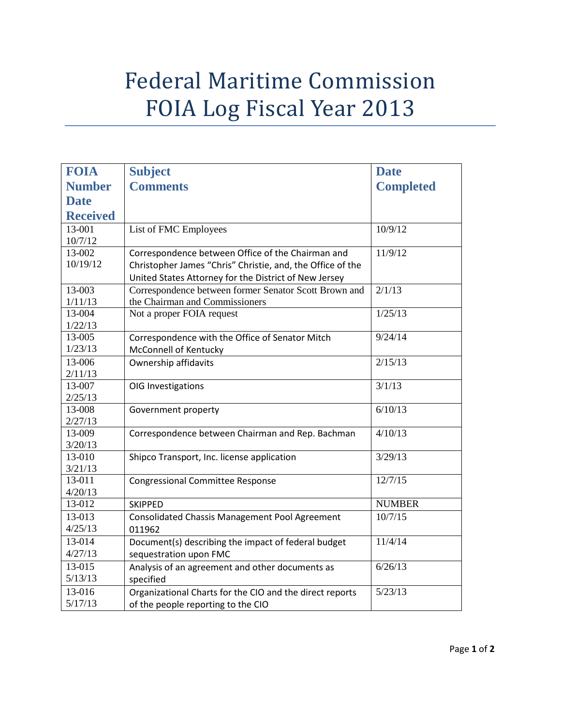## Federal Maritime Commission FOIA Log Fiscal Year 2013

| <b>FOIA</b>       | <b>Subject</b>                                             | <b>Date</b>      |
|-------------------|------------------------------------------------------------|------------------|
| <b>Number</b>     | <b>Comments</b>                                            | <b>Completed</b> |
| <b>Date</b>       |                                                            |                  |
| <b>Received</b>   |                                                            |                  |
| 13-001            | List of FMC Employees                                      | 10/9/12          |
| 10/7/12           |                                                            |                  |
| 13-002            | Correspondence between Office of the Chairman and          | 11/9/12          |
| 10/19/12          | Christopher James "Chris" Christie, and, the Office of the |                  |
|                   | United States Attorney for the District of New Jersey      |                  |
| 13-003            | Correspondence between former Senator Scott Brown and      | 2/1/13           |
| 1/11/13           | the Chairman and Commissioners                             |                  |
| 13-004            | Not a proper FOIA request                                  | 1/25/13          |
| 1/22/13           |                                                            |                  |
| 13-005            | Correspondence with the Office of Senator Mitch            | 9/24/14          |
| 1/23/13           | McConnell of Kentucky                                      |                  |
| 13-006            | Ownership affidavits                                       | 2/15/13          |
| 2/11/13           |                                                            |                  |
| 13-007            | OIG Investigations                                         | 3/1/13           |
| 2/25/13           |                                                            |                  |
| 13-008            | Government property                                        | 6/10/13          |
| 2/27/13           |                                                            |                  |
| 13-009            | Correspondence between Chairman and Rep. Bachman           | 4/10/13          |
| 3/20/13<br>13-010 | Shipco Transport, Inc. license application                 | 3/29/13          |
| 3/21/13           |                                                            |                  |
| 13-011            | <b>Congressional Committee Response</b>                    | 12/7/15          |
| 4/20/13           |                                                            |                  |
| 13-012            | <b>SKIPPED</b>                                             | <b>NUMBER</b>    |
| 13-013            | <b>Consolidated Chassis Management Pool Agreement</b>      | 10/7/15          |
| 4/25/13           | 011962                                                     |                  |
| 13-014            | Document(s) describing the impact of federal budget        | 11/4/14          |
| 4/27/13           | sequestration upon FMC                                     |                  |
| 13-015            | Analysis of an agreement and other documents as            | 6/26/13          |
| 5/13/13           | specified                                                  |                  |
| 13-016            | Organizational Charts for the CIO and the direct reports   | 5/23/13          |
| 5/17/13           | of the people reporting to the CIO                         |                  |